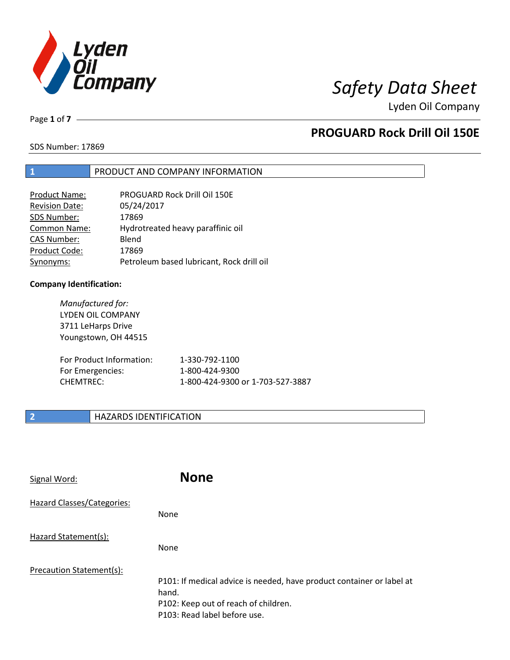

Page **1** of **7**

# **PROGUARD Rock Drill Oil 150E**

SDS Number: 17869

## **1** PRODUCT AND COMPANY INFORMATION

| <b>Product Name:</b>  | PROGUARD Rock Drill Oil 150E              |
|-----------------------|-------------------------------------------|
| <b>Revision Date:</b> | 05/24/2017                                |
| SDS Number:           | 17869                                     |
| <b>Common Name:</b>   | Hydrotreated heavy paraffinic oil         |
| <b>CAS Number:</b>    | Blend                                     |
| Product Code:         | 17869                                     |
| Synonyms:             | Petroleum based lubricant, Rock drill oil |

### **Company Identification:**

| Manufactured for:<br>LYDEN OIL COMPANY<br>3711 LeHarps Drive<br>Youngstown, OH 44515 |                                  |
|--------------------------------------------------------------------------------------|----------------------------------|
| For Product Information:                                                             | 1-330-792-1100                   |
| For Emergencies:                                                                     | 1-800-424-9300                   |
| <b>CHEMTREC:</b>                                                                     | 1-800-424-9300 or 1-703-527-3887 |

## **2 HAZARDS IDENTIFICATION**

| Signal Word:               | <b>None</b>                                                                                                                                            |
|----------------------------|--------------------------------------------------------------------------------------------------------------------------------------------------------|
| Hazard Classes/Categories: | None                                                                                                                                                   |
| Hazard Statement(s):       | None                                                                                                                                                   |
| Precaution Statement(s):   | P101: If medical advice is needed, have product container or label at<br>hand.<br>P102: Keep out of reach of children.<br>P103: Read label before use. |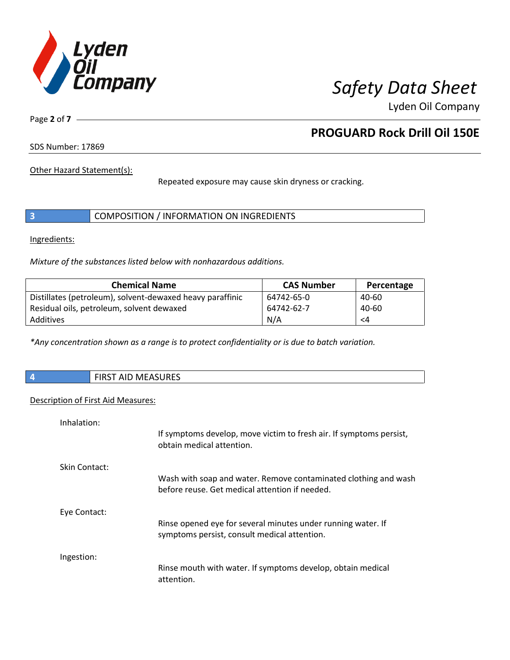

Page **2** of **7**

# **PROGUARD Rock Drill Oil 150E**

SDS Number: 17869

Other Hazard Statement(s):

Repeated exposure may cause skin dryness or cracking.

|  | COMPOSITION / INFORMATION ON INGREDIENTS |
|--|------------------------------------------|
|--|------------------------------------------|

Ingredients:

*Mixture of the substances listed below with nonhazardous additions.*

| <b>Chemical Name</b>                                      | <b>CAS Number</b> | Percentage |
|-----------------------------------------------------------|-------------------|------------|
| Distillates (petroleum), solvent-dewaxed heavy paraffinic | 64742-65-0        | 40-60      |
| Residual oils, petroleum, solvent dewaxed                 | 64742-62-7        | 40-60      |
| Additives                                                 | N/A               | <4         |

*\*Any concentration shown as a range is to protect confidentiality or is due to batch variation.*

|  |  | <b>FIRST AID MEASURES</b> |
|--|--|---------------------------|
|--|--|---------------------------|

### Description of First Aid Measures:

| Inhalation:   |                                                                                                                   |
|---------------|-------------------------------------------------------------------------------------------------------------------|
|               | If symptoms develop, move victim to fresh air. If symptoms persist,<br>obtain medical attention.                  |
| Skin Contact: |                                                                                                                   |
|               | Wash with soap and water. Remove contaminated clothing and wash<br>before reuse. Get medical attention if needed. |
| Eye Contact:  |                                                                                                                   |
|               | Rinse opened eye for several minutes under running water. If<br>symptoms persist, consult medical attention.      |
| Ingestion:    |                                                                                                                   |
|               | Rinse mouth with water. If symptoms develop, obtain medical<br>attention.                                         |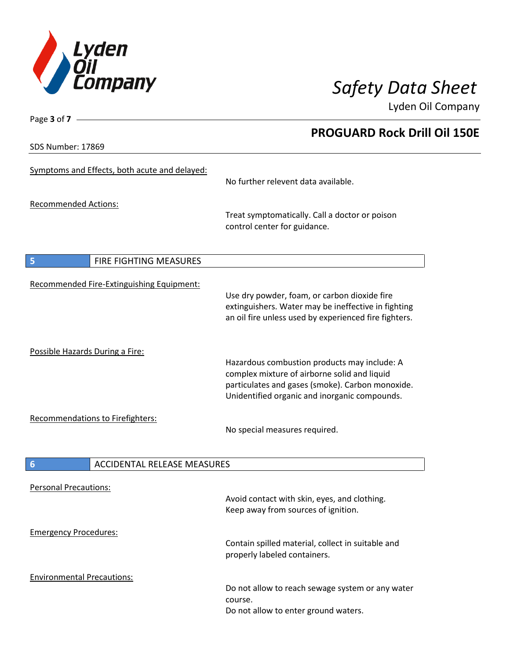

**PROGUARD Rock Drill Oil 150E**

Lyden Oil Company

SDS Number: 17869

Page **3** of **7**

| No further relevent data available.                                                                                                                                                               |  |  |
|---------------------------------------------------------------------------------------------------------------------------------------------------------------------------------------------------|--|--|
| Treat symptomatically. Call a doctor or poison<br>control center for guidance.                                                                                                                    |  |  |
|                                                                                                                                                                                                   |  |  |
|                                                                                                                                                                                                   |  |  |
|                                                                                                                                                                                                   |  |  |
| Use dry powder, foam, or carbon dioxide fire<br>extinguishers. Water may be ineffective in fighting<br>an oil fire unless used by experienced fire fighters.                                      |  |  |
|                                                                                                                                                                                                   |  |  |
| Hazardous combustion products may include: A<br>complex mixture of airborne solid and liquid<br>particulates and gases (smoke). Carbon monoxide.<br>Unidentified organic and inorganic compounds. |  |  |
| Recommendations to Firefighters:                                                                                                                                                                  |  |  |
| No special measures required.                                                                                                                                                                     |  |  |
| <b>ACCIDENTAL RELEASE MEASURES</b><br>6                                                                                                                                                           |  |  |
|                                                                                                                                                                                                   |  |  |
| Avoid contact with skin, eyes, and clothing.<br>Keep away from sources of ignition.                                                                                                               |  |  |
|                                                                                                                                                                                                   |  |  |
| Contain spilled material, collect in suitable and<br>properly labeled containers.                                                                                                                 |  |  |
|                                                                                                                                                                                                   |  |  |
| Do not allow to reach sewage system or any water<br>course.<br>Do not allow to enter ground waters.                                                                                               |  |  |
|                                                                                                                                                                                                   |  |  |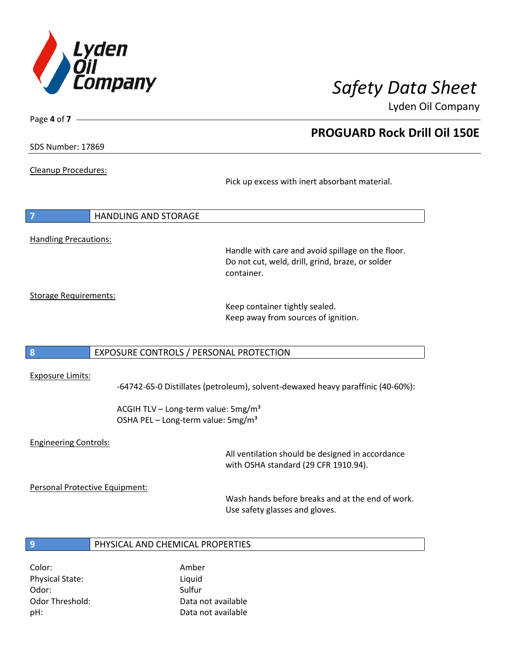

SDS Number: 17869

Page **4** of **7**

Cleanup Procedures:

Pick up excess with inert absorbant material.

**7** HANDLING AND STORAGE Handling Precautions:

> Handle with care and avoid spillage on the floor. Do not cut, weld, drill, grind, braze, or solder container.

Storage Requirements:

Keep container tightly sealed. Keep away from sources of ignition.

## **8** EXPOSURE CONTROLS / PERSONAL PROTECTION

### Exposure Limits:

-64742-65-0 Distillates (petroleum), solvent-dewaxed heavy paraffinic (40-60%):

ACGIH TLV – Long-term value:  $5mg/m<sup>3</sup>$ OSHA PEL - Long-term value: 5mg/m<sup>3</sup>

## Engineering Controls:

All ventilation should be designed in accordance with OSHA standard (29 CFR 1910.94).

Personal Protective Equipment:

Wash hands before breaks and at the end of work. Use safety glasses and gloves.

## **9** PHYSICAL AND CHEMICAL PROPERTIES

Color: Amber Physical State: Liquid Odor: Sulfur Sulfur Sulfur Sulfur Sulfur Sulfur Sulfur Sulfur Sulfur Sulfur Sulfur Sulfur Sulfur Sulfur Sulfur

Odor Threshold: Data not available pH: Data not available

# **PROGUARD Rock Drill Oil 150E**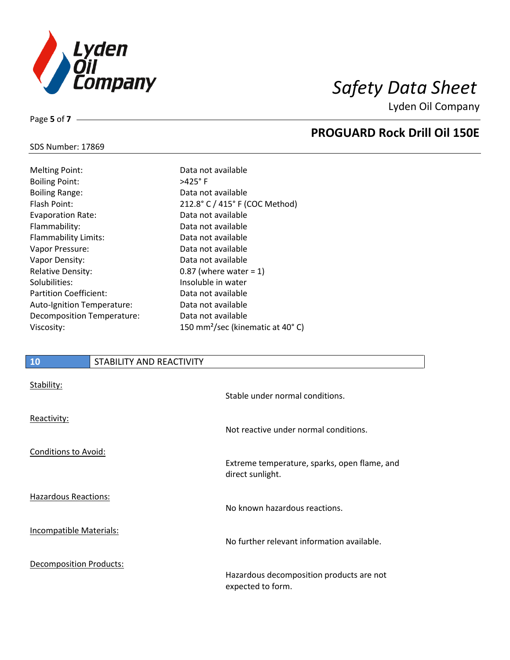

**PROGUARD Rock Drill Oil 150E**

Lyden Oil Company

# SDS Number: 17869

Page **5** of **7**

| <b>Melting Point:</b>      |
|----------------------------|
| <b>Boiling Point:</b>      |
| <b>Boiling Range:</b>      |
| Flash Point:               |
| <b>Evaporation Rate:</b>   |
| Flammability:              |
| Flammability Limits:       |
| Vapor Pressure:            |
| Vapor Density:             |
| <b>Relative Density:</b>   |
| Solubilities:              |
| Partition Coefficient:     |
| Auto-Ignition Temperature: |
| Decomposition Temperature: |
| Viscosity:                 |

Data not available  $>425^\circ$  F Data not available 212.8° C / 415° F (COC Method) Data not available Data not available Data not available Data not available Data not available 0.87 (where water  $= 1$ ) Insoluble in water Data not available Data not available Data not available 150 mm<sup>2</sup>/sec (kinematic at 40°C)

# **10** STABILITY AND REACTIVITY

| Stability:              | Stable under normal conditions.                                  |
|-------------------------|------------------------------------------------------------------|
| Reactivity:             | Not reactive under normal conditions.                            |
| Conditions to Avoid:    | Extreme temperature, sparks, open flame, and<br>direct sunlight. |
| Hazardous Reactions:    | No known hazardous reactions.                                    |
| Incompatible Materials: | No further relevant information available.                       |
| Decomposition Products: | Hazardous decomposition products are not<br>expected to form.    |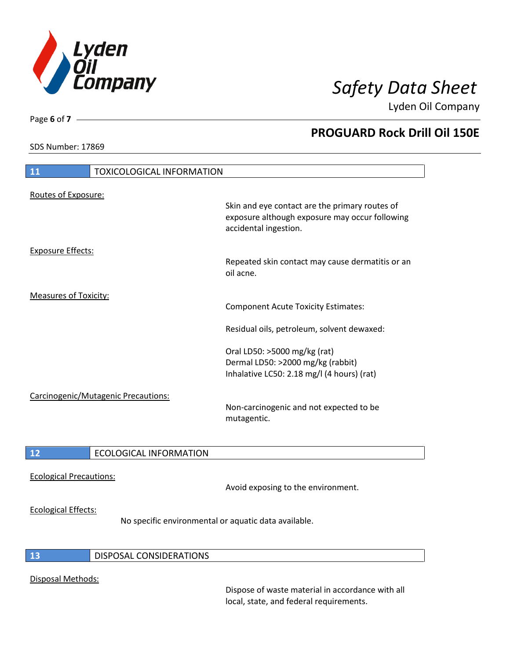

SDS Number: 17869

Page **6** of **7**

# **PROGUARD Rock Drill Oil 150E**

| 11                           | <b>TOXICOLOGICAL INFORMATION</b>    |                                                                                                                           |
|------------------------------|-------------------------------------|---------------------------------------------------------------------------------------------------------------------------|
| Routes of Exposure:          |                                     |                                                                                                                           |
|                              |                                     | Skin and eye contact are the primary routes of<br>exposure although exposure may occur following<br>accidental ingestion. |
| <b>Exposure Effects:</b>     |                                     |                                                                                                                           |
|                              |                                     | Repeated skin contact may cause dermatitis or an<br>oil acne.                                                             |
| <b>Measures of Toxicity:</b> |                                     |                                                                                                                           |
|                              |                                     | <b>Component Acute Toxicity Estimates:</b>                                                                                |
|                              |                                     | Residual oils, petroleum, solvent dewaxed:                                                                                |
|                              |                                     | Oral LD50: >5000 mg/kg (rat)                                                                                              |
|                              |                                     | Dermal LD50: >2000 mg/kg (rabbit)                                                                                         |
|                              |                                     | Inhalative LC50: 2.18 mg/l (4 hours) (rat)                                                                                |
|                              | Carcinogenic/Mutagenic Precautions: |                                                                                                                           |
|                              |                                     | Non-carcinogenic and not expected to be<br>mutagentic.                                                                    |
|                              |                                     |                                                                                                                           |
| 12                           | <b>ECOLOGICAL INFORMATION</b>       |                                                                                                                           |
| - - - - -                    |                                     |                                                                                                                           |

Ecological Precautions:

Avoid exposing to the environment.

## Ecological Effects:

No specific environmental or aquatic data available.

## **13** DISPOSAL CONSIDERATIONS

## Disposal Methods:

Dispose of waste material in accordance with all local, state, and federal requirements.